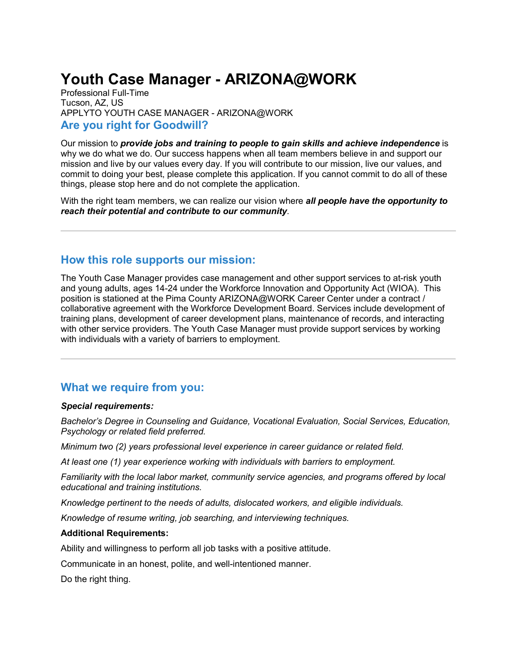# **Youth Case Manager - ARIZONA@WORK**

Professional Full-Time Tucson, AZ, US APPLYTO YOUTH CASE MANAGER - ARIZONA@WORK **Are you right for Goodwill?**

Our mission to *provide jobs and training to people to gain skills and achieve independence* is why we do what we do. Our success happens when all team members believe in and support our mission and live by our values every day. If you will contribute to our mission, live our values, and commit to doing your best, please complete this application. If you cannot commit to do all of these things, please stop here and do not complete the application.

With the right team members, we can realize our vision where *all people have the opportunity to reach their potential and contribute to our community*.

## **How this role supports our mission:**

The Youth Case Manager provides case management and other support services to at-risk youth and young adults, ages 14-24 under the Workforce Innovation and Opportunity Act (WIOA). This position is stationed at the Pima County ARIZONA@WORK Career Center under a contract / collaborative agreement with the Workforce Development Board. Services include development of training plans, development of career development plans, maintenance of records, and interacting with other service providers. The Youth Case Manager must provide support services by working with individuals with a variety of barriers to employment.

## **What we require from you:**

#### *Special requirements:*

*Bachelor's Degree in Counseling and Guidance, Vocational Evaluation, Social Services, Education, Psychology or related field preferred.*

*Minimum two (2) years professional level experience in career guidance or related field.*

*At least one (1) year experience working with individuals with barriers to employment.*

*Familiarity with the local labor market, community service agencies, and programs offered by local educational and training institutions.* 

*Knowledge pertinent to the needs of adults, dislocated workers, and eligible individuals.* 

*Knowledge of resume writing, job searching, and interviewing techniques.* 

#### **Additional Requirements:**

Ability and willingness to perform all job tasks with a positive attitude.

Communicate in an honest, polite, and well-intentioned manner.

Do the right thing.